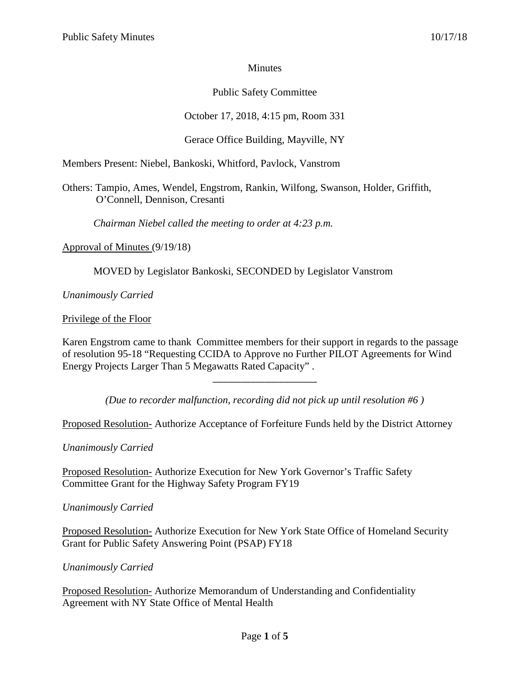## **Minutes**

## Public Safety Committee

# October 17, 2018, 4:15 pm, Room 331

# Gerace Office Building, Mayville, NY

Members Present: Niebel, Bankoski, Whitford, Pavlock, Vanstrom

Others: Tampio, Ames, Wendel, Engstrom, Rankin, Wilfong, Swanson, Holder, Griffith, O'Connell, Dennison, Cresanti

*Chairman Niebel called the meeting to order at 4:23 p.m.*

Approval of Minutes (9/19/18)

MOVED by Legislator Bankoski, SECONDED by Legislator Vanstrom

*Unanimously Carried*

Privilege of the Floor

Karen Engstrom came to thank Committee members for their support in regards to the passage of resolution 95-18 "Requesting CCIDA to Approve no Further PILOT Agreements for Wind Energy Projects Larger Than 5 Megawatts Rated Capacity" .

*(Due to recorder malfunction, recording did not pick up until resolution #6 )*

\_\_\_\_\_\_\_\_\_\_\_\_\_\_\_\_\_\_\_\_\_\_

Proposed Resolution- Authorize Acceptance of Forfeiture Funds held by the District Attorney

*Unanimously Carried*

Proposed Resolution- Authorize Execution for New York Governor's Traffic Safety Committee Grant for the Highway Safety Program FY19

*Unanimously Carried*

Proposed Resolution- Authorize Execution for New York State Office of Homeland Security Grant for Public Safety Answering Point (PSAP) FY18

*Unanimously Carried*

Proposed Resolution- Authorize Memorandum of Understanding and Confidentiality Agreement with NY State Office of Mental Health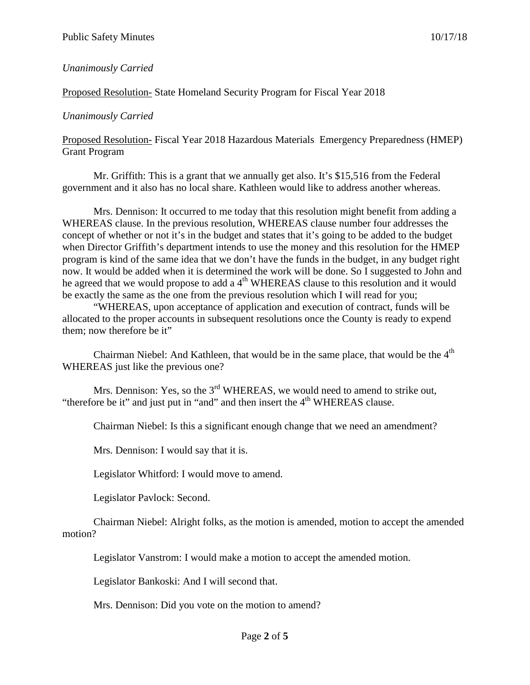#### *Unanimously Carried*

#### Proposed Resolution- State Homeland Security Program for Fiscal Year 2018

#### *Unanimously Carried*

Proposed Resolution- Fiscal Year 2018 Hazardous Materials Emergency Preparedness (HMEP) Grant Program

Mr. Griffith: This is a grant that we annually get also. It's \$15,516 from the Federal government and it also has no local share. Kathleen would like to address another whereas.

Mrs. Dennison: It occurred to me today that this resolution might benefit from adding a WHEREAS clause. In the previous resolution, WHEREAS clause number four addresses the concept of whether or not it's in the budget and states that it's going to be added to the budget when Director Griffith's department intends to use the money and this resolution for the HMEP program is kind of the same idea that we don't have the funds in the budget, in any budget right now. It would be added when it is determined the work will be done. So I suggested to John and he agreed that we would propose to add a 4<sup>th</sup> WHEREAS clause to this resolution and it would be exactly the same as the one from the previous resolution which I will read for you;

"WHEREAS, upon acceptance of application and execution of contract, funds will be allocated to the proper accounts in subsequent resolutions once the County is ready to expend them; now therefore be it"

Chairman Niebel: And Kathleen, that would be in the same place, that would be the  $4<sup>th</sup>$ WHEREAS just like the previous one?

Mrs. Dennison: Yes, so the  $3<sup>rd</sup>$  WHEREAS, we would need to amend to strike out, "therefore be it" and just put in "and" and then insert the  $4<sup>th</sup>$  WHEREAS clause.

Chairman Niebel: Is this a significant enough change that we need an amendment?

Mrs. Dennison: I would say that it is.

Legislator Whitford: I would move to amend.

Legislator Pavlock: Second.

Chairman Niebel: Alright folks, as the motion is amended, motion to accept the amended motion?

Legislator Vanstrom: I would make a motion to accept the amended motion.

Legislator Bankoski: And I will second that.

Mrs. Dennison: Did you vote on the motion to amend?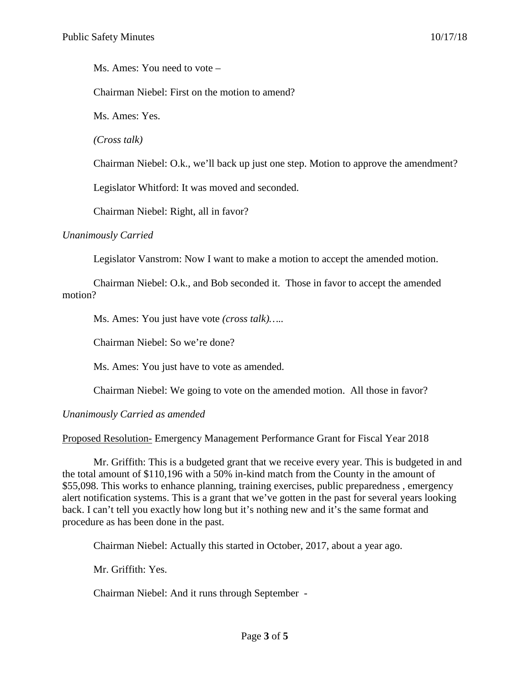Ms. Ames: You need to vote –

Chairman Niebel: First on the motion to amend?

Ms. Ames: Yes.

*(Cross talk)*

Chairman Niebel: O.k., we'll back up just one step. Motion to approve the amendment?

Legislator Whitford: It was moved and seconded.

Chairman Niebel: Right, all in favor?

#### *Unanimously Carried*

Legislator Vanstrom: Now I want to make a motion to accept the amended motion.

Chairman Niebel: O.k., and Bob seconded it. Those in favor to accept the amended motion?

Ms. Ames: You just have vote *(cross talk)…..*

Chairman Niebel: So we're done?

Ms. Ames: You just have to vote as amended.

Chairman Niebel: We going to vote on the amended motion. All those in favor?

### *Unanimously Carried as amended*

Proposed Resolution- Emergency Management Performance Grant for Fiscal Year 2018

Mr. Griffith: This is a budgeted grant that we receive every year. This is budgeted in and the total amount of \$110,196 with a 50% in-kind match from the County in the amount of \$55,098. This works to enhance planning, training exercises, public preparedness , emergency alert notification systems. This is a grant that we've gotten in the past for several years looking back. I can't tell you exactly how long but it's nothing new and it's the same format and procedure as has been done in the past.

Chairman Niebel: Actually this started in October, 2017, about a year ago.

Mr. Griffith: Yes.

Chairman Niebel: And it runs through September -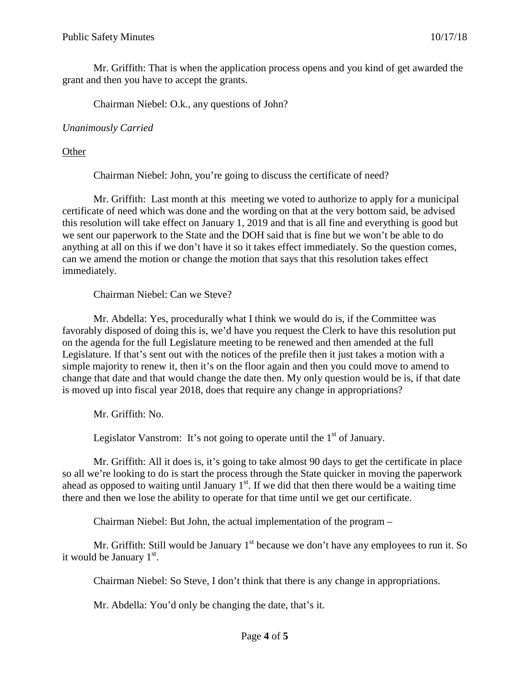Mr. Griffith: That is when the application process opens and you kind of get awarded the grant and then you have to accept the grants.

Chairman Niebel: O.k., any questions of John?

## *Unanimously Carried*

## **Other**

Chairman Niebel: John, you're going to discuss the certificate of need?

Mr. Griffith: Last month at this meeting we voted to authorize to apply for a municipal certificate of need which was done and the wording on that at the very bottom said, be advised this resolution will take effect on January 1, 2019 and that is all fine and everything is good but we sent our paperwork to the State and the DOH said that is fine but we won't be able to do anything at all on this if we don't have it so it takes effect immediately. So the question comes, can we amend the motion or change the motion that says that this resolution takes effect immediately.

Chairman Niebel: Can we Steve?

Mr. Abdella: Yes, procedurally what I think we would do is, if the Committee was favorably disposed of doing this is, we'd have you request the Clerk to have this resolution put on the agenda for the full Legislature meeting to be renewed and then amended at the full Legislature. If that's sent out with the notices of the prefile then it just takes a motion with a simple majority to renew it, then it's on the floor again and then you could move to amend to change that date and that would change the date then. My only question would be is, if that date is moved up into fiscal year 2018, does that require any change in appropriations?

Mr. Griffith: No.

Legislator Vanstrom: It's not going to operate until the  $1<sup>st</sup>$  of January.

Mr. Griffith: All it does is, it's going to take almost 90 days to get the certificate in place so all we're looking to do is start the process through the State quicker in moving the paperwork ahead as opposed to waiting until January  $1<sup>st</sup>$ . If we did that then there would be a waiting time there and then we lose the ability to operate for that time until we get our certificate.

Chairman Niebel: But John, the actual implementation of the program –

Mr. Griffith: Still would be January  $1<sup>st</sup>$  because we don't have any employees to run it. So it would be January  $1<sup>st</sup>$ .

Chairman Niebel: So Steve, I don't think that there is any change in appropriations.

Mr. Abdella: You'd only be changing the date, that's it.